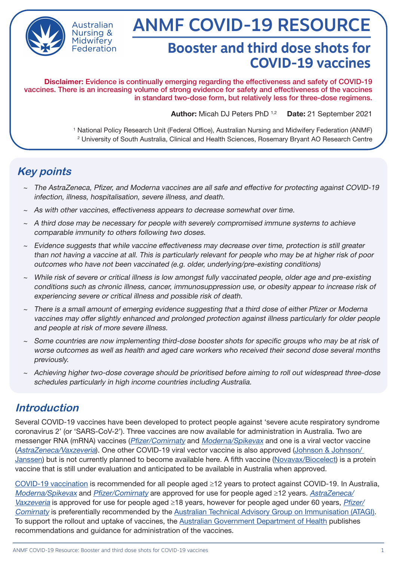

Australian **Nursing &** Midwiferv Federation

# ANMF COVID-19 RESOURCE

## **Booster and third dose shots for COVID-19 vaccines**

Disclaimer: Evidence is continually emerging regarding the effectiveness and safety of COVID-19 vaccines. There is an increasing volume of strong evidence for safety and effectiveness of the vaccines in standard two-dose form, but relatively less for three-dose regimens.

Author: Micah DJ Peters PhD 1,2 Date: 21 September 2021

1 National Policy Research Unit (Federal Office), Australian Nursing and Midwifery Federation (ANMF) 2 University of South Australia, Clinical and Health Sciences, Rosemary Bryant AO Research Centre

### **Key points**

- ~ The AstraZeneca, Pfizer, and Moderna vaccines are all safe and effective for protecting against COVID-19 infection, illness, hospitalisation, severe illness, and death.
- $\sim$  As with other vaccines, effectiveness appears to decrease somewhat over time.
- $\sim$  A third dose may be necessary for people with severely compromised immune systems to achieve comparable immunity to others following two doses.
- $\sim$  Evidence suggests that while vaccine effectiveness may decrease over time, protection is still greater than not having a vaccine at all. This is particularly relevant for people who may be at higher risk of poor outcomes who have not been vaccinated (e.g. older, underlying/pre-existing conditions)
- ~ While risk of severe or critical illness is low amongst fully vaccinated people, older age and pre-existing conditions such as chronic illness, cancer, immunosuppression use, or obesity appear to increase risk of experiencing severe or critical illness and possible risk of death.
- There is a small amount of emerging evidence suggesting that a third dose of either Pfizer or Moderna vaccines may offer slightly enhanced and prolonged protection against illness particularly for older people and people at risk of more severe illness.
- ~ Some countries are now implementing third-dose booster shots for specific groups who may be at risk of worse outcomes as well as health and aged care workers who received their second dose several months previously.
- ~ Achieving higher two-dose coverage should be prioritised before aiming to roll out widespread three-dose schedules particularly in high income countries including Australia.

#### **Introduction**

Several COVID-19 vaccines have been developed to protect people against 'severe acute respiratory syndrome coronavirus 2' (or 'SARS-CoV-2'). Three vaccines are now available for administration in Australia. Two are messenger RNA (mRNA) vaccines ([Pfizer/Comirnaty](https://www.health.gov.au/initiatives-and-programs/covid-19-vaccines/learn-about-covid-19-vaccines/about-the-comirnaty-pfizer-covid-19-vaccine) and [Moderna/Spikevax](https://www.health.gov.au/resources/publications/covid-19-vaccination-information-on-covid-19-moderna-spikevax-vaccine) and one is a viral vector vaccine ([AstraZeneca/Vaxzeveria](https://www.health.gov.au/initiatives-and-programs/covid-19-vaccines/learn-about-covid-19-vaccines/about-the-vaxzevria-astrazeneca-covid-19-vaccine)). One other COVID-19 viral vector vaccine is also approved [\(Johnson & Johnson/](https://www.tga.gov.au/covid-19-vaccine-janssen)  [Janssen](https://www.tga.gov.au/covid-19-vaccine-janssen)) but is not currently planned to become available here. A fifth vaccine [\(Novavax/Biocelect\)](https://www.health.gov.au/initiatives-and-programs/covid-19-vaccines/covid-19-vaccine-government-response/australias-vaccine-agreements#novavax) is a protein vaccine that is still under evaluation and anticipated to be available in Australia when approved.

[COVID-19 vaccination](https://www.health.gov.au/sites/default/files/documents/2021/08/covid-19-vaccination-atagi-clinical-guidance-on-covid-19-vaccine-in-australia-in-2021.pdf) is recommended for all people aged ≥12 years to protect against COVID-19. In Australia, [Moderna/Spikevax](https://www.health.gov.au/resources/publications/covid-19-vaccination-information-on-covid-19-moderna-spikevax-vaccine) and [Pfizer/Comirnaty](https://www.health.gov.au/initiatives-and-programs/covid-19-vaccines/learn-about-covid-19-vaccines/about-the-comirnaty-pfizer-covid-19-vaccine) are approved for use for people aged ≥12 years. [AstraZeneca/](https://www.health.gov.au/initiatives-and-programs/covid-19-vaccines/learn-about-covid-19-vaccines/about-the-vaxzevria-astrazeneca-covid-19-vaccine) [Vaxzeveria](https://www.health.gov.au/initiatives-and-programs/covid-19-vaccines/learn-about-covid-19-vaccines/about-the-vaxzevria-astrazeneca-covid-19-vaccine) is approved for use for people aged ≥18 years, however for people aged under 60 years, [Pfizer/](https://www.health.gov.au/initiatives-and-programs/covid-19-vaccines/learn-about-covid-19-vaccines/about-the-comirnaty-pfizer-covid-19-vaccine) [Comirnaty](https://www.health.gov.au/initiatives-and-programs/covid-19-vaccines/learn-about-covid-19-vaccines/about-the-comirnaty-pfizer-covid-19-vaccine) is preferentially recommended by the [Australian Technical Advisory Group on Immunisation \(ATAGI\).](https://www.health.gov.au/sites/default/files/documents/2021/08/covid-19-vaccination-atagi-clinical-guidance-on-covid-19-vaccine-in-australia-in-2021.pdf) To support the rollout and uptake of vaccines, the [Australian Government Department of Health](https://www.health.gov.au/initiatives-and-programs/covid-19-vaccines/learn-about-covid-19-vaccines/about-the-comirnaty-pfizer-covid-19-vaccine) publishes recommendations and guidance for administration of the vaccines.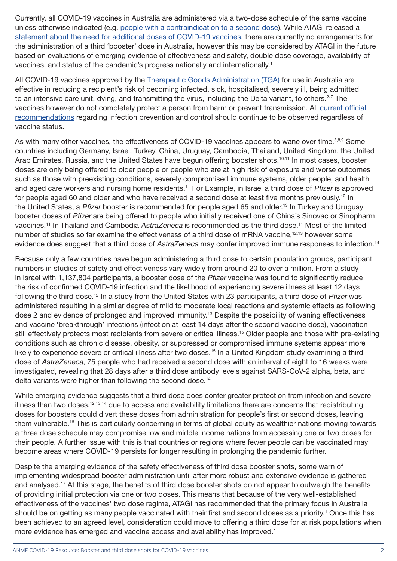Currently, all COVID-19 vaccines in Australia are administered via a two-dose schedule of the same vaccine unless otherwise indicated (e.g. [people with a contraindication to a second dose](https://www.health.gov.au/initiatives-and-programs/covid-19-vaccines/information-for-covid-19-vaccination-providers/covid-19-vaccine-clinical-considerations#administration-of-covid19-vaccine-following-a-thromboembolic-event)). While ATAGI released a [statement about the need for additional doses of COVID-19 vaccines,](https://www.health.gov.au/news/atagi-statement-about-the-need-for-additional-doses-of-covid-19-vaccines) there are currently no arrangements for the administration of a third 'booster' dose in Australia, however this may be considered by ATAGI in the future based on evaluations of emerging evidence of effectiveness and safety, double dose coverage, availability of vaccines, and status of the pandemic's progress nationally and internationally.1

All COVID-19 vaccines approved by the [Therapeutic Goods Administration \(TGA\)](https://www.tga.gov.au/covid-19-vaccines) for use in Australia are effective in reducing a recipient's risk of becoming infected, sick, hospitalised, severely ill, being admitted to an intensive care unit, dying, and transmitting the virus, including the Delta variant, to others.<sup>2-7</sup> The vaccines however do not completely protect a person from harm or prevent transmission. All [current official](https://www.health.gov.au/news/health-alerts/novel-coronavirus-2019-ncov-health-alert/how-to-protect-yourself-and-others-from-coronavirus-covid-19)  [recommendations](https://www.health.gov.au/news/health-alerts/novel-coronavirus-2019-ncov-health-alert/how-to-protect-yourself-and-others-from-coronavirus-covid-19) regarding infection prevention and control should continue to be observed regardless of vaccine status.

As with many other vaccines, the effectiveness of COVID-19 vaccines appears to wane over time.<sup>5,8,9</sup> Some countries including Germany, Israel, Turkey, China, Uruguay, Cambodia, Thailand, United Kingdom, the United Arab Emirates, Russia, and the United States have begun offering booster shots.<sup>10,11</sup> In most cases, booster doses are only being offered to older people or people who are at high risk of exposure and worse outcomes such as those with preexisting conditions, severely compromised immune systems, older people, and health and aged care workers and nursing home residents.<sup>11</sup> For Example, in Israel a third dose of Pfizer is approved for people aged 60 and older and who have received a second dose at least five months previously.<sup>12</sup> In the United States, a Pfizer booster is recommended for people aged 65 and older.<sup>13</sup> In Turkey and Uruguay booster doses of Pfizer are being offered to people who initially received one of China's Sinovac or Sinopharm vaccines.11 In Thailand and Cambodia AstraZeneca is recommended as the third dose.11 Most of the limited number of studies so far examine the effectiveness of a third dose of mRNA vaccine,<sup>12,13</sup> however some evidence does suggest that a third dose of AstraZeneca may confer improved immune responses to infection.<sup>14</sup>

Because only a few countries have begun administering a third dose to certain population groups, participant numbers in studies of safety and effectiveness vary widely from around 20 to over a million. From a study in Israel with 1,137,804 participants, a booster dose of the Pfizer vaccine was found to significantly reduce the risk of confirmed COVID-19 infection and the likelihood of experiencing severe illness at least 12 days following the third dose.12 In a study from the United States with 23 participants, a third dose of Pfizer was administered resulting in a similar degree of mild to moderate local reactions and systemic effects as following dose 2 and evidence of prolonged and improved immunity.13 Despite the possibility of waning effectiveness and vaccine 'breakthrough' infections (infection at least 14 days after the second vaccine dose), vaccination still effectively protects most recipients from severe or critical illness.<sup>15</sup> Older people and those with pre-existing conditions such as chronic disease, obesity, or suppressed or compromised immune systems appear more likely to experience severe or critical illness after two doses.<sup>15</sup> In a United Kingdom study examining a third dose of AstraZeneca, 75 people who had received a second dose with an interval of eight to 16 weeks were investigated, revealing that 28 days after a third dose antibody levels against SARS-CoV-2 alpha, beta, and delta variants were higher than following the second dose.<sup>14</sup>

While emerging evidence suggests that a third dose does confer greater protection from infection and severe illness than two doses.<sup>12,13,14</sup> due to access and availability limitations there are concerns that redistributing doses for boosters could divert these doses from administration for people's first or second doses, leaving them vulnerable.<sup>16</sup> This is particularly concerning in terms of global equity as wealthier nations moving towards a three dose schedule may compromise low and middle income nations from accessing one or two doses for their people. A further issue with this is that countries or regions where fewer people can be vaccinated may become areas where COVID-19 persists for longer resulting in prolonging the pandemic further.

Despite the emerging evidence of the safety effectiveness of third dose booster shots, some warn of implementing widespread booster administration until after more robust and extensive evidence is gathered and analysed.17 At this stage, the benefits of third dose booster shots do not appear to outweigh the benefits of providing initial protection via one or two doses. This means that because of the very well-established effectiveness of the vaccines' two dose regime, ATAGI has recommended that the primary focus in Australia should be on getting as many people vaccinated with their first and second doses as a priority.<sup>1</sup> Once this has been achieved to an agreed level, consideration could move to offering a third dose for at risk populations when more evidence has emerged and vaccine access and availability has improved.<sup>1</sup>